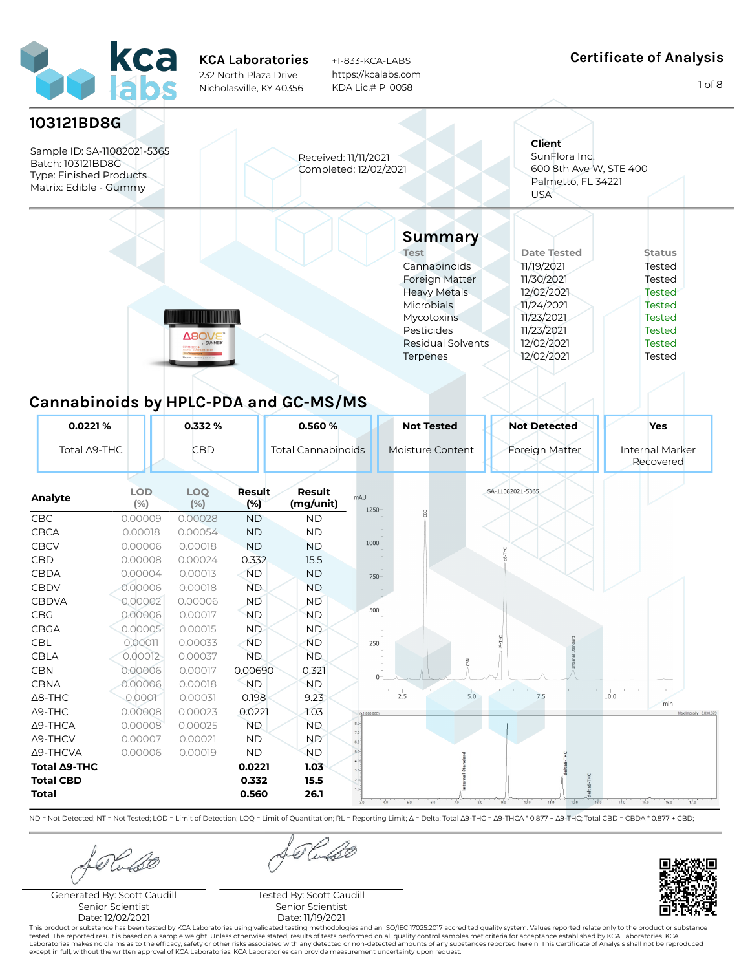

+1-833-KCA-LABS https://kcalabs.com KDA Lic.# P\_0058

#### Certificate of Analysis

1 of 8



Rubo

Generated By: Scott Caudill Senior Scientist Date: 12/02/2021

forluse

Tested By: Scott Caudill Senior Scientist Date: 11/19/2021

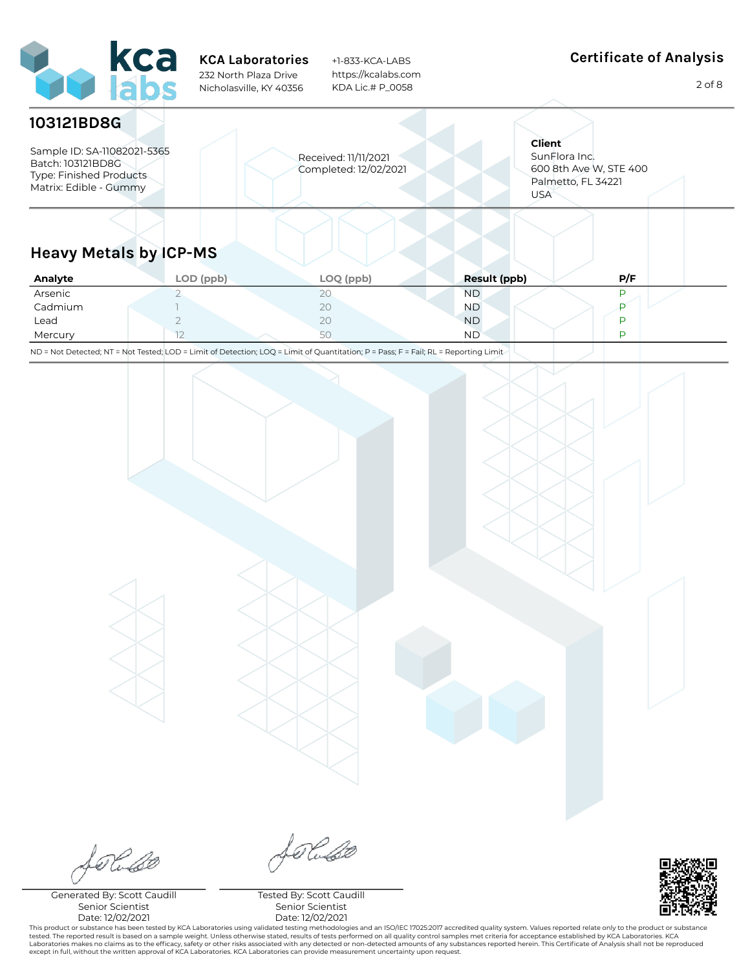

+1-833-KCA-LABS https://kcalabs.com KDA Lic.# P\_0058

## Certificate of Analysis

2 of 8

| 103121BD8G                                                                                            |                                               |                                                                                              |
|-------------------------------------------------------------------------------------------------------|-----------------------------------------------|----------------------------------------------------------------------------------------------|
| Sample ID: SA-11082021-5365<br>Batch: 103121BD8G<br>Type: Finished Products<br>Matrix: Edible - Gummy | Received: 11/11/2021<br>Completed: 12/02/2021 | <b>Client</b><br>SunFlora Inc.<br>600 8th Ave W, STE 400<br>Palmetto, FL 34221<br><b>USA</b> |
| .<br>.                                                                                                |                                               |                                                                                              |

## Heavy Metals by ICP-MS

| Analyte | LOD (ppb) | LOQ (ppb)    | <b>Result (ppb)</b> | P/F |
|---------|-----------|--------------|---------------------|-----|
| Arsenic |           | $20^{\circ}$ | ND.                 |     |
| Cadmium |           | 20           | ND.                 |     |
| Lead    |           | 20           | <b>ND</b>           |     |
| Mercury | $-$       | JU           | <b>ND</b>           |     |

ND = Not Detected; NT = Not Tested; LOD = Limit of Detection; LOQ = Limit of Quantitation; P = Pass; F = Fail; RL = Reporting Limit

forlado

Generated By: Scott Caudill Senior Scientist Date: 12/02/2021

Selaso

Tested By: Scott Caudill Senior Scientist Date: 12/02/2021

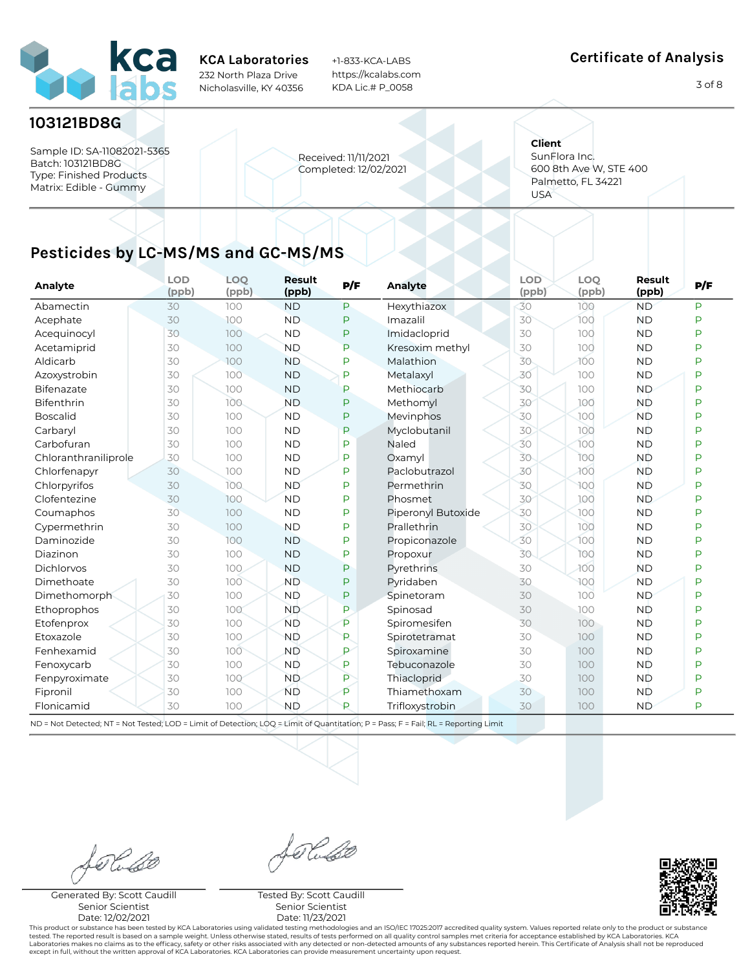

+1-833-KCA-LABS https://kcalabs.com KDA Lic.# P\_0058

#### Certificate of Analysis

3 of 8

#### 103121BD8G

Sample ID: SA-11082021-5365 Batch: 103121BD8G Type: Finished Products Matrix: Edible - Gummy

Received: 11/11/2021 Completed: 12/02/2021 **Client** SunFlora Inc. 600 8th Ave W, STE 400 Palmetto, FL 34221 USA

# Pesticides by LC-MS/MS and GC-MS/MS

| Analyte              | <b>LOD</b><br>(ppb) | <b>LOQ</b><br>(ppb) | Result<br>(ppb) | P/F | <b>Analyte</b>     | <b>LOD</b><br>(ppb) | <b>LOQ</b><br>(ppb) | Result<br>(ppb) | P/F |
|----------------------|---------------------|---------------------|-----------------|-----|--------------------|---------------------|---------------------|-----------------|-----|
| Abamectin            | 30                  | 100                 | <b>ND</b>       | P   | Hexythiazox        | 30                  | 100                 | <b>ND</b>       | Þ   |
| Acephate             | 30                  | 100                 | <b>ND</b>       | P   | Imazalil           | 30                  | 100                 | <b>ND</b>       | P   |
| Acequinocyl          | 30                  | 100                 | <b>ND</b>       | P   | Imidacloprid       | 30                  | 100                 | <b>ND</b>       | Þ   |
| Acetamiprid          | 30                  | 100                 | <b>ND</b>       | P   | Kresoxim methyl    | 30                  | 100                 | <b>ND</b>       | Þ   |
| Aldicarb             | 30                  | 100                 | <b>ND</b>       | P   | Malathion          | 30                  | 100                 | <b>ND</b>       | Þ   |
| Azoxystrobin         | 30                  | 100                 | <b>ND</b>       | P   | Metalaxyl          | 30                  | 100                 | <b>ND</b>       | Þ   |
| Bifenazate           | 30                  | 100                 | <b>ND</b>       | P   | Methiocarb         | 30                  | 100                 | <b>ND</b>       | P   |
| Bifenthrin           | 30                  | 100                 | <b>ND</b>       | P   | Methomyl           | 30                  | 100                 | <b>ND</b>       | P   |
| <b>Boscalid</b>      | 30                  | 100                 | <b>ND</b>       | P   | Mevinphos          | 30                  | JOO                 | <b>ND</b>       | P   |
| Carbaryl             | 30                  | 100                 | <b>ND</b>       | P   | Myclobutanil       | 30                  | 100                 | <b>ND</b>       | D   |
| Carbofuran           | 30                  | 100                 | <b>ND</b>       | P   | Naled              | 30                  | 100                 | <b>ND</b>       | P   |
| Chloranthraniliprole | 30                  | 100                 | <b>ND</b>       | P   | Oxamvl             | 30                  | 100                 | <b>ND</b>       | P   |
| Chlorfenapyr         | 30                  | 100                 | <b>ND</b>       | P   | Paclobutrazol      | 30                  | 100                 | <b>ND</b>       | Þ   |
| Chlorpyrifos         | 30                  | 100                 | <b>ND</b>       | P   | Permethrin         | 30                  | 100                 | <b>ND</b>       | P   |
| Clofentezine         | 30                  | 100                 | <b>ND</b>       | P   | Phosmet            | 30                  | 100                 | <b>ND</b>       | P   |
| Coumaphos            | 30                  | 100                 | <b>ND</b>       | P   | Piperonyl Butoxide | 30                  | 100                 | <b>ND</b>       | Þ   |
| Cypermethrin         | 30                  | 100                 | <b>ND</b>       | P   | Prallethrin        | 30                  | 100                 | <b>ND</b>       | Þ   |
| Daminozide           | 30                  | 100                 | <b>ND</b>       | P   | Propiconazole      | 30                  | 100                 | <b>ND</b>       | Þ   |
| Diazinon             | 30                  | 100                 | <b>ND</b>       | P   | Propoxur           | 30                  | 100                 | <b>ND</b>       | Þ   |
| Dichlorvos           | 30                  | 100                 | <b>ND</b>       | P   | Pyrethrins         | 30                  | 100                 | <b>ND</b>       | P   |
| Dimethoate           | 30                  | 100                 | <b>ND</b>       | P   | Pyridaben          | 30                  | 100                 | <b>ND</b>       | P   |
| Dimethomorph         | 30                  | 100                 | <b>ND</b>       | P   | Spinetoram         | 30                  | 100                 | <b>ND</b>       | P   |
| Ethoprophos          | 30                  | 100                 | <b>ND</b>       | P   | Spinosad           | 30                  | 100                 | <b>ND</b>       | P   |
| Etofenprox           | 30                  | 100                 | <b>ND</b>       | P   | Spiromesifen       | 30                  | 100                 | <b>ND</b>       | Þ   |
| Etoxazole            | 30                  | 100                 | <b>ND</b>       | P   | Spirotetramat      | 30                  | 100                 | <b>ND</b>       | P   |
| Fenhexamid           | 30                  | 100                 | <b>ND</b>       | P   | Spiroxamine        | 30                  | 100                 | <b>ND</b>       | P   |
| Fenoxycarb           | 30                  | 100                 | <b>ND</b>       | P   | Tebuconazole       | 30                  | 100                 | <b>ND</b>       | P   |
| Fenpyroximate        | 30                  | 100                 | <b>ND</b>       | P   | Thiacloprid        | 30                  | 100                 | <b>ND</b>       | P   |
| Fipronil             | 30                  | 100                 | <b>ND</b>       | P   | Thiamethoxam       | 30                  | 100                 | <b>ND</b>       | P   |
| Flonicamid           | 30                  | 100                 | <b>ND</b>       | P   | Trifloxystrobin    | 30                  | 100                 | <b>ND</b>       | P   |

ND = Not Detected; NT = Not Tested; LOD = Limit of Detection; LOQ = Limit of Quantitation; P = Pass; F = Fail; RL = Reporting Limit

Rubo

Generated By: Scott Caudill Senior Scientist Date: 12/02/2021

Seraso

Tested By: Scott Caudill Senior Scientist Date: 11/23/2021

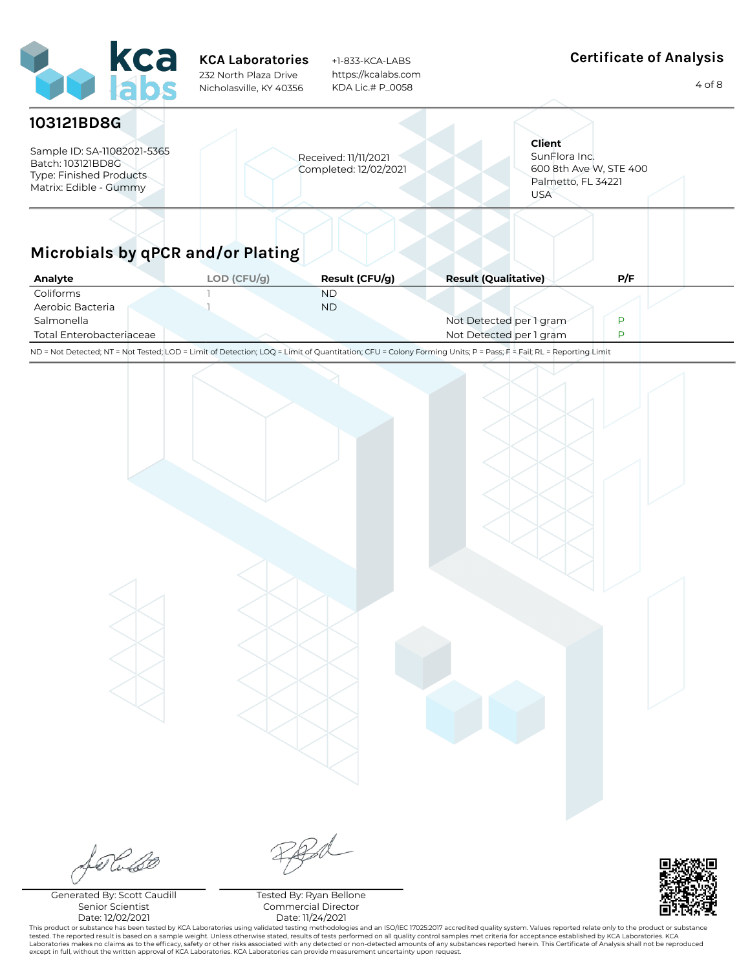| kca<br>labs                                                                                                         | <b>KCA Laboratories</b><br>232 North Plaza Drive<br>Nicholasville, KY 40356 | +1-833-KCA-LABS<br>https://kcalabs.com<br>KDA Lic.# P_0058 |                                                                                                                                                                 | <b>Certificate of Analysis</b><br>$4$ of $8$ |
|---------------------------------------------------------------------------------------------------------------------|-----------------------------------------------------------------------------|------------------------------------------------------------|-----------------------------------------------------------------------------------------------------------------------------------------------------------------|----------------------------------------------|
| 103121BD8G<br>Sample ID: SA-11082021-5365<br>Batch: 103121BD8G<br>Type: Finished Products<br>Matrix: Edible - Gummy |                                                                             | Received: 11/11/2021<br>Completed: 12/02/2021              | <b>Client</b><br>SunFlora Inc.<br>600 8th Ave W, STE 400<br>Palmetto, FL 34221<br><b>USA</b>                                                                    |                                              |
| Microbials by qPCR and/or Plating                                                                                   |                                                                             |                                                            |                                                                                                                                                                 |                                              |
| Analyte                                                                                                             | LOD (CFU/g)                                                                 | Result (CFU/g)                                             | <b>Result (Qualitative)</b>                                                                                                                                     | P/F                                          |
| Coliforms<br>Aerobic Bacteria<br>Salmonella<br>Total Enterobacteriaceae                                             |                                                                             | <b>ND</b><br><b>ND</b>                                     | Not Detected per 1 gram<br>Not Detected per 1 gram                                                                                                              | P<br>P                                       |
|                                                                                                                     |                                                                             |                                                            | ND = Not Detected; NT = Not Tested; LOD = Limit of Detection; LOQ = Limit of Quantitation; CFU = Colony Forming Units; P = Pass; F = Fail; RL = Reporting Limit |                                              |
|                                                                                                                     |                                                                             |                                                            |                                                                                                                                                                 |                                              |
| Seraso                                                                                                              |                                                                             | RRd                                                        |                                                                                                                                                                 | <b>BAR SERVER</b>                            |

Generated By: Scott Caudill Senior Scientist Date: 12/02/2021

L

Tested By: Ryan Bellone Commercial Director Date: 11/24/2021

This product or substance has been tested by KCA Laboratories using validated testing methodologies and an ISO/IEC 17025:2017 accredited quality system. Values reported relate only to the product or substance<br>tested. The r

п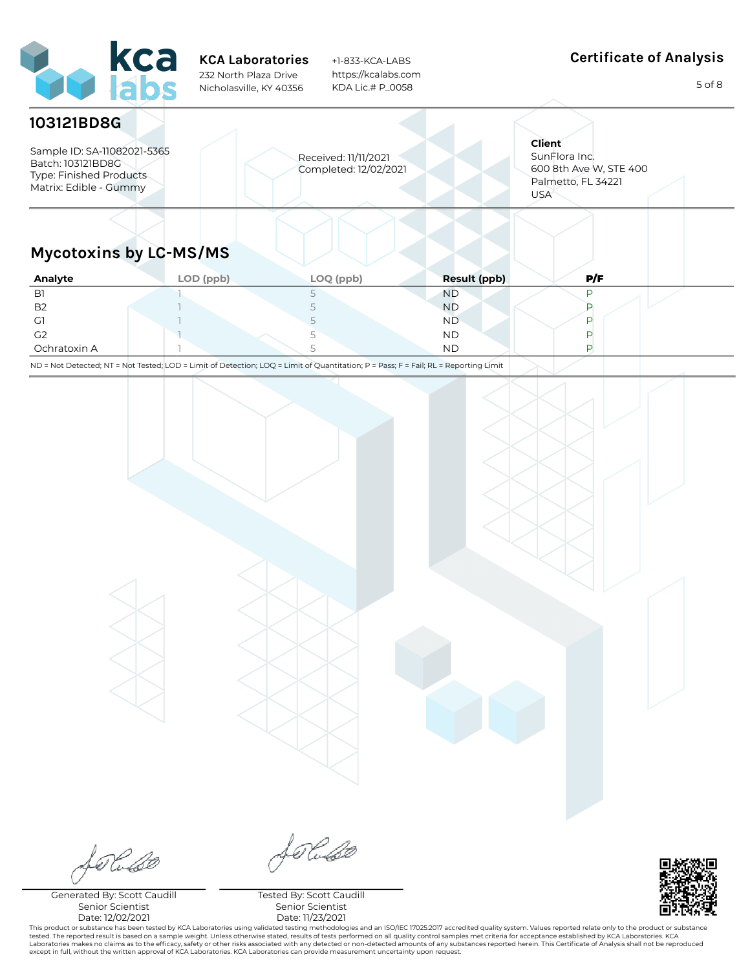| <b>Art kca</b>                                                                                                             | <b>KCA Laboratories</b><br>232 North Plaza Drive<br>Nicholasville, KY 40356 |   | +1-833-KCA-LABS<br>https://kcalabs.com<br>KDA Lic.# P 0058 |              | <b>Certificate of Analysis</b><br>5 of 8                                                     |
|----------------------------------------------------------------------------------------------------------------------------|-----------------------------------------------------------------------------|---|------------------------------------------------------------|--------------|----------------------------------------------------------------------------------------------|
| 103121BD8G<br>Sample ID: SA-11082021-5365<br>Batch: 103121BD8G<br><b>Type: Finished Products</b><br>Matrix: Edible - Gummy |                                                                             |   | Received: 11/11/2021<br>Completed: 12/02/2021              |              | <b>Client</b><br>SunFlora Inc.<br>600 8th Ave W, STE 400<br>Palmetto, FL 34221<br><b>USA</b> |
| <b>Mycotoxins by LC-MS/MS</b><br>Analyte                                                                                   | LOD (ppb)                                                                   |   | LOQ (ppb)                                                  | Result (ppb) | P/F                                                                                          |
| B <sub>1</sub>                                                                                                             |                                                                             | 5 |                                                            | <b>ND</b>    | P                                                                                            |

| B <sub>2</sub> |        | <b>ND</b> |  |
|----------------|--------|-----------|--|
| $\sim$<br>، ب  |        | <b>ND</b> |  |
| G <sub>2</sub> | $\sim$ | <b>ND</b> |  |
| Ochratoxin A   |        | <b>ND</b> |  |

ND = Not Detected; NT = Not Tested; LOD = Limit of Detection; LOQ = Limit of Quantitation; P = Pass; F = Fail; RL = Reporting Limit

folise

Generated By: Scott Caudill Senior Scientist Date: 12/02/2021

Soluso

Tested By: Scott Caudill Senior Scientist Date: 11/23/2021



This product or substance has been tested by KCA Laboratories using validated testing methodologies and an ISO/IEC 17025:2017 accredited quality system. Values reported relate only to the product or substance tested. The reported result is based on a sample weight. Unless otherwise stated, results of tests performed on all quality control samples met criteria for acceptance established by KCA Laboratories. KCA<br>Laboratories make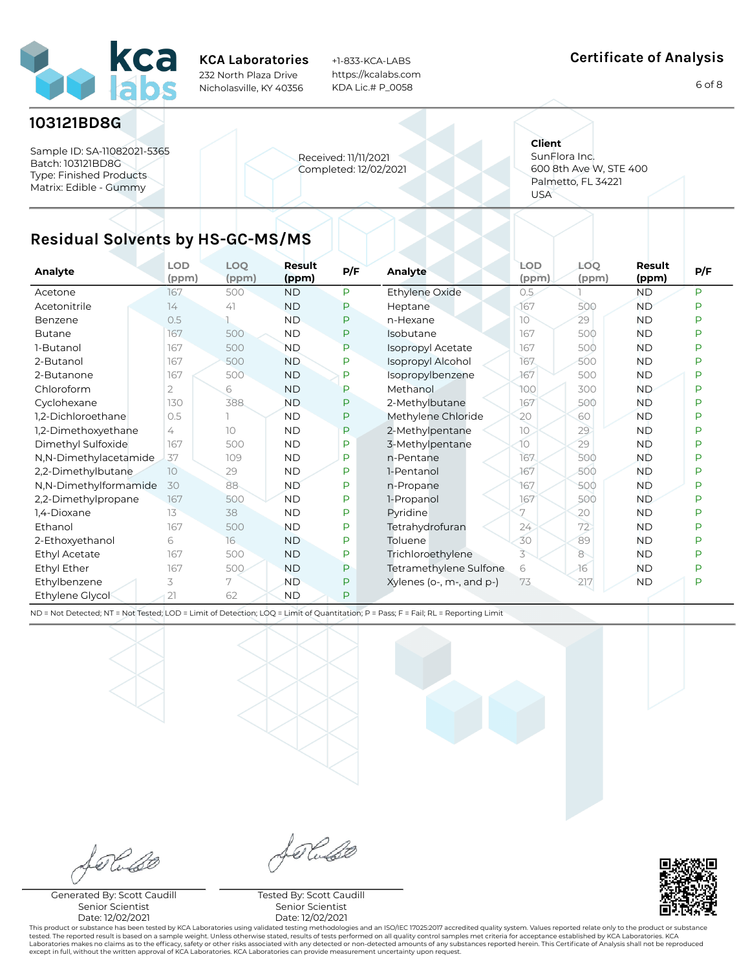

+1-833-KCA-LABS https://kcalabs.com KDA Lic.# P\_0058

#### Certificate of Analysis

6 of 8

### 103121BD8G

Sample ID: SA-11082021-5365 Batch: 103121BD8G Type: Finished Products Matrix: Edible - Gummy

Received: 11/11/2021 Completed: 12/02/2021 **Client** SunFlora Inc. 600 8th Ave W, STE 400 Palmetto, FL 34221 USA

# Residual Solvents by HS-GC-MS/MS

| Analyte               | <b>LOD</b><br>(ppm) | <b>LOQ</b><br>(ppm) | Result<br>(ppm) | P/F | Analyte                  | LOD<br>(ppm) | LOQ.<br>(ppm) | Result<br>(ppm) | P/F |
|-----------------------|---------------------|---------------------|-----------------|-----|--------------------------|--------------|---------------|-----------------|-----|
| Acetone               | 167                 | 500                 | <b>ND</b>       | P   | Ethylene Oxide           | 0.5          |               | <b>ND</b>       | P   |
| Acetonitrile          | 14                  | 41                  | <b>ND</b>       | P   | Heptane                  | 167          | 500           | <b>ND</b>       | P   |
| Benzene               | 0.5                 |                     | <b>ND</b>       | P   | n-Hexane                 | 10           | 29            | <b>ND</b>       | P   |
| <b>Butane</b>         | 167                 | 500                 | <b>ND</b>       | P   | Isobutane                | 167          | 500           | <b>ND</b>       | P   |
| 1-Butanol             | 167                 | 500                 | <b>ND</b>       | P   | Isopropyl Acetate        | 167          | 500           | <b>ND</b>       | P   |
| 2-Butanol             | 167                 | 500                 | <b>ND</b>       | P   | Isopropyl Alcohol        | 167          | 500           | <b>ND</b>       | Þ   |
| 2-Butanone            | 167                 | 500                 | <b>ND</b>       | P   | Isopropylbenzene         | 167          | 500           | <b>ND</b>       | P   |
| Chloroform            | 2                   | 6                   | <b>ND</b>       | P   | Methanol                 | 100          | 300           | <b>ND</b>       | P   |
| Cyclohexane           | 130                 | 388                 | <b>ND</b>       | P   | 2-Methylbutane           | 167          | 500           | <b>ND</b>       | D   |
| 1.2-Dichloroethane    | 0.5                 |                     | <b>ND</b>       | P   | Methylene Chloride       | 20           | 60            | <b>ND</b>       | D   |
| 1,2-Dimethoxyethane   | 4                   | 10                  | <b>ND</b>       | P   | 2-Methylpentane          | 10           | 29            | <b>ND</b>       | Þ   |
| Dimethyl Sulfoxide    | 167                 | 500                 | <b>ND</b>       | P   | 3-Methylpentane          | 10           | 29            | <b>ND</b>       | P   |
| N,N-Dimethylacetamide | 37                  | 109                 | <b>ND</b>       | P   | n-Pentane                | 167          | 500           | <b>ND</b>       | P   |
| 2,2-Dimethylbutane    | 10                  | 29                  | <b>ND</b>       | P   | 1-Pentanol               | 167          | 500           | <b>ND</b>       | P   |
| N,N-Dimethylformamide | 30                  | 88                  | <b>ND</b>       | P   | n-Propane                | 167          | 500           | <b>ND</b>       | P   |
| 2,2-Dimethylpropane   | 167                 | 500                 | <b>ND</b>       | P   | 1-Propanol               | 167          | 500           | <b>ND</b>       | P   |
| 1,4-Dioxane           | 13                  | 38                  | <b>ND</b>       | P   | Pyridine                 | 7            | 20            | <b>ND</b>       | P   |
| Ethanol               | 167                 | 500                 | <b>ND</b>       | P   | Tetrahydrofuran          | 24           | 72            | <b>ND</b>       | P   |
| 2-Ethoxyethanol       | 6                   | 16                  | <b>ND</b>       | P   | Toluene                  | 30           | 89            | <b>ND</b>       | P   |
| Ethyl Acetate         | 167                 | 500                 | <b>ND</b>       | P   | Trichloroethylene        | 3            | 8             | <b>ND</b>       | P   |
| Ethyl Ether           | 167                 | 500                 | <b>ND</b>       | P   | Tetramethylene Sulfone   | 6            | -16           | <b>ND</b>       | P   |
| Ethylbenzene          | 3                   | 7                   | <b>ND</b>       | P   | Xylenes (o-, m-, and p-) | 73           | 217           | <b>ND</b>       | P   |
| Ethylene Glycol       | 21                  | 62                  | <b>ND</b>       | P   |                          |              |               |                 |     |

ND = Not Detected; NT = Not Tested; LOD = Limit of Detection; LOQ = Limit of Quantitation; P = Pass; F = Fail; RL = Reporting Limit

Rubo

Generated By: Scott Caudill Senior Scientist Date: 12/02/2021

forluse

Tested By: Scott Caudill Senior Scientist Date: 12/02/2021

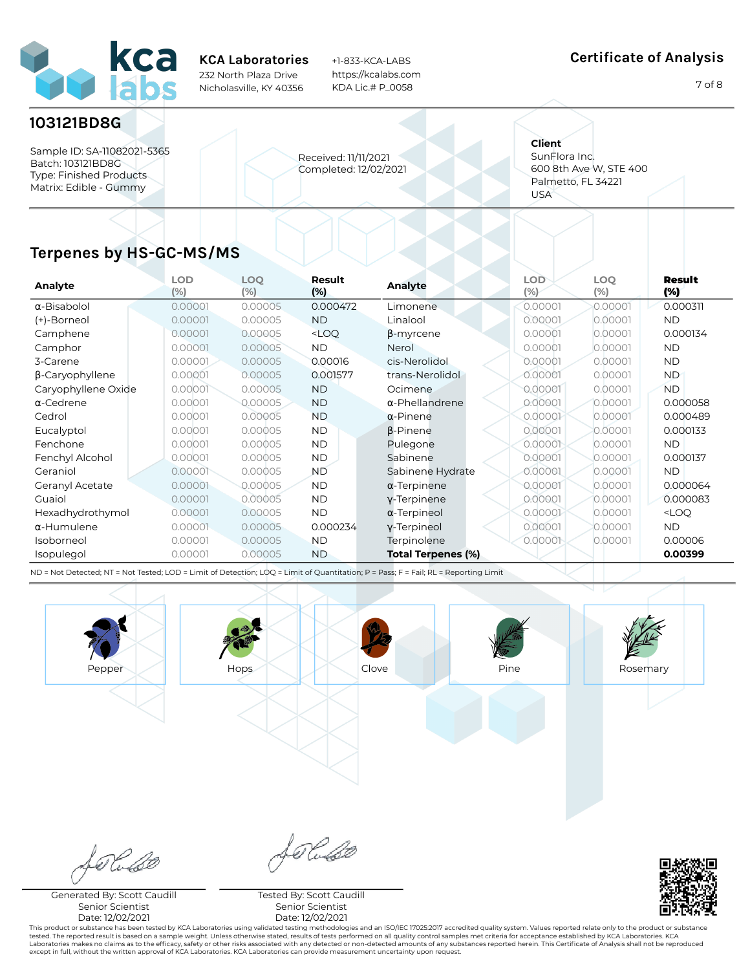

+1-833-KCA-LABS https://kcalabs.com KDA Lic.# P\_0058

#### Certificate of Analysis

7 of 8

### 103121BD8G

Sample ID: SA-11082021-5365 Batch: 103121BD8G Type: Finished Products Matrix: Edible - Gummy

Received: 11/11/2021 Completed: 12/02/2021 **Client** SunFlora Inc. 600 8th Ave W, STE 400 Palmetto, FL 34221 USA

# Terpenes by HS-GC-MS/MS

| Analyte                | <b>LOD</b><br>(% ) | <b>LOQ</b><br>$(\% )$ | Result<br>(%)                                                                                 | <b>Analyte</b>            | <b>LOD</b><br>$(\%)$ | <b>LOQ</b><br>(% ) | Result<br>(%)       |
|------------------------|--------------------|-----------------------|-----------------------------------------------------------------------------------------------|---------------------------|----------------------|--------------------|---------------------|
| $\alpha$ -Bisabolol    | 0.00001            | 0.00005               | 0.000472                                                                                      | Limonene                  | 0.00001              | 0.00001            | 0.000311            |
| (+)-Borneol            | 0.00001            | 0.00005               | ND.                                                                                           | Linalool                  | 0.00001              | 0.00001            | <b>ND</b>           |
| Camphene               | 0.00001            | 0.00005               | <loq< th=""><th><b>B-myrcene</b></th><th>0.00001</th><th>0.00001</th><th>0.000134</th></loq<> | <b>B-myrcene</b>          | 0.00001              | 0.00001            | 0.000134            |
| Camphor                | 0.00001            | 0.00005               | ND.                                                                                           | Nerol                     | 0.00001              | 0.00001            | <b>ND</b>           |
| 3-Carene               | 0.00001            | 0.00005               | 0.00016                                                                                       | cis-Nerolidol             | 0.00001              | 0.00001            | <b>ND</b>           |
| $\beta$ -Caryophyllene | 0.00001            | 0.00005               | 0.001577                                                                                      | trans-Nerolidol           | 0.00001              | 0.00001            | <b>ND</b>           |
| Caryophyllene Oxide    | 0.00001            | 0.00005               | <b>ND</b>                                                                                     | Ocimene.                  | 0.00001              | 0.00001            | <b>ND</b>           |
| $\alpha$ -Cedrene      | 0.00001            | 0.00005               | <b>ND</b>                                                                                     | $\alpha$ -Phellandrene    | 0.00001              | 0.00001            | 0.000058            |
| Cedrol                 | 0.00001            | 0.00005               | <b>ND</b>                                                                                     | $\alpha$ -Pinene          | 0.00001              | 0.00001            | 0.000489            |
| Eucalyptol             | 0.00001            | 0.00005               | <b>ND</b>                                                                                     | <b>B-Pinene</b>           | 0.00001              | 0.00001            | 0.000133            |
| Fenchone               | 0.00001            | 0.00005               | <b>ND</b>                                                                                     | Pulegone                  | 0.00001              | 0.00001            | <b>ND</b>           |
| Fenchyl Alcohol        | 0.00001            | 0.00005               | <b>ND</b>                                                                                     | Sabinene                  | 0.00001              | 0.00001            | 0.000137            |
| Geraniol               | 0.00001            | 0.00005               | <b>ND</b>                                                                                     | Sabinene Hydrate          | 0.00001              | 0.00001            | <b>ND</b>           |
| Geranyl Acetate        | 0.00001            | 0.00005               | <b>ND</b>                                                                                     | $\alpha$ -Terpinene       | 0.00001              | 0.00001            | 0.000064            |
| Guaiol                 | 0.00001            | 0.00005               | <b>ND</b>                                                                                     | y-Terpinene               | 0.00001              | 0.00001            | 0.000083            |
| Hexadhydrothymol       | 0.00001            | 0.00005               | <b>ND</b>                                                                                     | $\alpha$ -Terpineol       | 0.00001              | 0.00001            | <loq< th=""></loq<> |
| $\alpha$ -Humulene     | 0.00001            | 0.00005               | 0.000234                                                                                      | y-Terpineol               | 0.00001              | 0.00001            | <b>ND</b>           |
| Isoborneol             | 0.00001            | 0.00005               | <b>ND</b>                                                                                     | Terpinolene               | 0.00001              | 0.00001            | 0.00006             |
| Isopulegol             | 0.00001            | 0.00005               | <b>ND</b>                                                                                     | <b>Total Terpenes (%)</b> |                      |                    | 0.00399             |

ND = Not Detected; NT = Not Tested; LOD = Limit of Detection; LOQ = Limit of Quantitation; P = Pass; F = Fail; RL = Reporting Limit





Generated By: Scott Caudill Senior Scientist Date: 12/02/2021

Tested By: Scott Caudill Senior Scientist Date: 12/02/2021